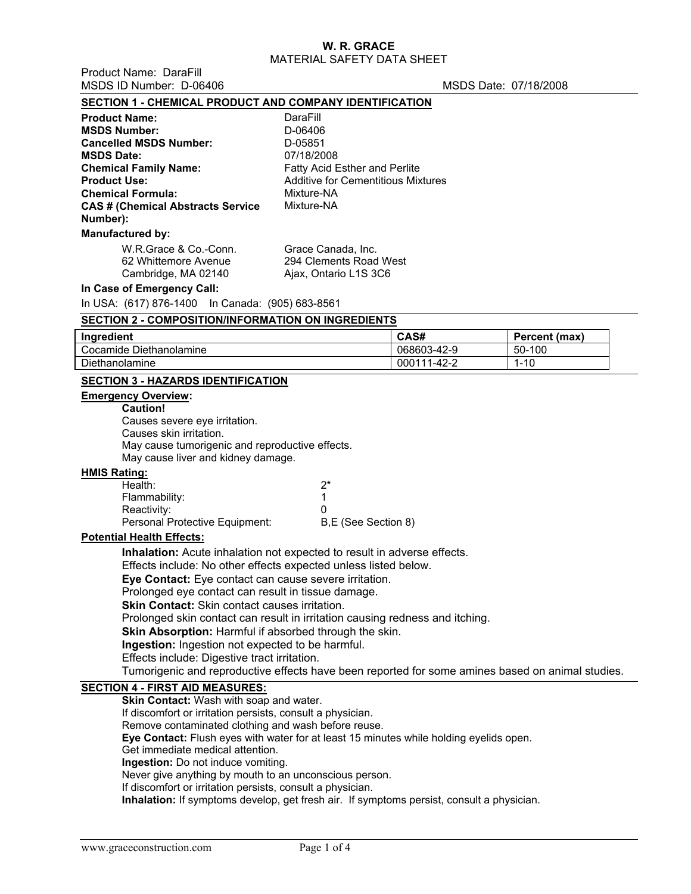Product Name: DaraFill<br>MSDS ID Number: D.06406

MSDS Date: 07/18/2008

| MODO ID NUITIDEI. D-00400                                                                                                                               |                                           | MODO DAJE. VII 10/2000 |               |  |  |  |
|---------------------------------------------------------------------------------------------------------------------------------------------------------|-------------------------------------------|------------------------|---------------|--|--|--|
| SECTION 1 - CHEMICAL PRODUCT AND COMPANY IDENTIFICATION                                                                                                 |                                           |                        |               |  |  |  |
| <b>Product Name:</b>                                                                                                                                    | DaraFill                                  |                        |               |  |  |  |
| <b>MSDS Number:</b>                                                                                                                                     | D-06406                                   |                        |               |  |  |  |
| <b>Cancelled MSDS Number:</b>                                                                                                                           | D-05851                                   |                        |               |  |  |  |
| <b>MSDS Date:</b>                                                                                                                                       | 07/18/2008                                |                        |               |  |  |  |
| <b>Chemical Family Name:</b>                                                                                                                            | Fatty Acid Esther and Perlite             |                        |               |  |  |  |
| <b>Product Use:</b>                                                                                                                                     | <b>Additive for Cementitious Mixtures</b> |                        |               |  |  |  |
| <b>Chemical Formula:</b>                                                                                                                                | Mixture-NA                                |                        |               |  |  |  |
| <b>CAS # (Chemical Abstracts Service</b>                                                                                                                | Mixture-NA                                |                        |               |  |  |  |
| Number):                                                                                                                                                |                                           |                        |               |  |  |  |
| <b>Manufactured by:</b>                                                                                                                                 |                                           |                        |               |  |  |  |
| W.R.Grace & Co.-Conn.                                                                                                                                   | Grace Canada, Inc.                        |                        |               |  |  |  |
| 62 Whittemore Avenue                                                                                                                                    | 294 Clements Road West                    |                        |               |  |  |  |
| Cambridge, MA 02140                                                                                                                                     | Ajax, Ontario L1S 3C6                     |                        |               |  |  |  |
| In Case of Emergency Call:                                                                                                                              |                                           |                        |               |  |  |  |
| In USA: (617) 876-1400  In Canada: (905) 683-8561                                                                                                       |                                           |                        |               |  |  |  |
| <b>SECTION 2 - COMPOSITION/INFORMATION ON INGREDIENTS</b>                                                                                               |                                           |                        |               |  |  |  |
| Ingredient                                                                                                                                              |                                           | CAS#                   | Percent (max) |  |  |  |
| Cocamide Diethanolamine                                                                                                                                 |                                           | 068603-42-9            | 50-100        |  |  |  |
| Diethanolamine                                                                                                                                          |                                           | 000111-42-2            | $1 - 10$      |  |  |  |
| <b>SECTION 3 - HAZARDS IDENTIFICATION</b>                                                                                                               |                                           |                        |               |  |  |  |
| <b>Emergency Overview:</b>                                                                                                                              |                                           |                        |               |  |  |  |
| <b>Caution!</b>                                                                                                                                         |                                           |                        |               |  |  |  |
| Causes severe eye irritation.                                                                                                                           |                                           |                        |               |  |  |  |
| Causes skin irritation.                                                                                                                                 |                                           |                        |               |  |  |  |
| May cause tumorigenic and reproductive effects.                                                                                                         |                                           |                        |               |  |  |  |
| May cause liver and kidney damage.                                                                                                                      |                                           |                        |               |  |  |  |
| <b>HMIS Rating:</b>                                                                                                                                     |                                           |                        |               |  |  |  |
| Health:                                                                                                                                                 | $2^*$                                     |                        |               |  |  |  |
| Flammability:                                                                                                                                           | 1                                         |                        |               |  |  |  |
| Reactivity:                                                                                                                                             | 0                                         |                        |               |  |  |  |
| Personal Protective Equipment:                                                                                                                          | B,E (See Section 8)                       |                        |               |  |  |  |
| <b>Potential Health Effects:</b>                                                                                                                        |                                           |                        |               |  |  |  |
| Inhalation: Acute inhalation not expected to result in adverse effects.                                                                                 |                                           |                        |               |  |  |  |
| Effects include: No other effects expected unless listed below.                                                                                         |                                           |                        |               |  |  |  |
| Eye Contact: Eye contact can cause severe irritation.                                                                                                   |                                           |                        |               |  |  |  |
| Prolonged eye contact can result in tissue damage.                                                                                                      |                                           |                        |               |  |  |  |
| Skin Contact: Skin contact causes irritation.                                                                                                           |                                           |                        |               |  |  |  |
| Prolonged skin contact can result in irritation causing redness and itching.                                                                            |                                           |                        |               |  |  |  |
| Skin Absorption: Harmful if absorbed through the skin.                                                                                                  |                                           |                        |               |  |  |  |
| Ingestion: Ingestion not expected to be harmful.                                                                                                        |                                           |                        |               |  |  |  |
| Effects include: Digestive tract irritation.                                                                                                            |                                           |                        |               |  |  |  |
| Tumorigenic and reproductive effects have been reported for some amines based on animal studies.                                                        |                                           |                        |               |  |  |  |
| <b>SECTION 4 - FIRST AID MEASURES:</b>                                                                                                                  |                                           |                        |               |  |  |  |
| Skin Contact: Wash with soap and water.                                                                                                                 |                                           |                        |               |  |  |  |
| If discomfort or irritation persists, consult a physician.                                                                                              |                                           |                        |               |  |  |  |
| Remove contaminated clothing and wash before reuse.                                                                                                     |                                           |                        |               |  |  |  |
| Eye Contact: Flush eyes with water for at least 15 minutes while holding eyelids open.                                                                  |                                           |                        |               |  |  |  |
| Get immediate medical attention.                                                                                                                        |                                           |                        |               |  |  |  |
| Ingestion: Do not induce vomiting.                                                                                                                      |                                           |                        |               |  |  |  |
| Never give anything by mouth to an unconscious person.                                                                                                  |                                           |                        |               |  |  |  |
| If discomfort or irritation persists, consult a physician.<br>Inhalation: If symptoms develop, get fresh air. If symptoms persist, consult a physician. |                                           |                        |               |  |  |  |
|                                                                                                                                                         |                                           |                        |               |  |  |  |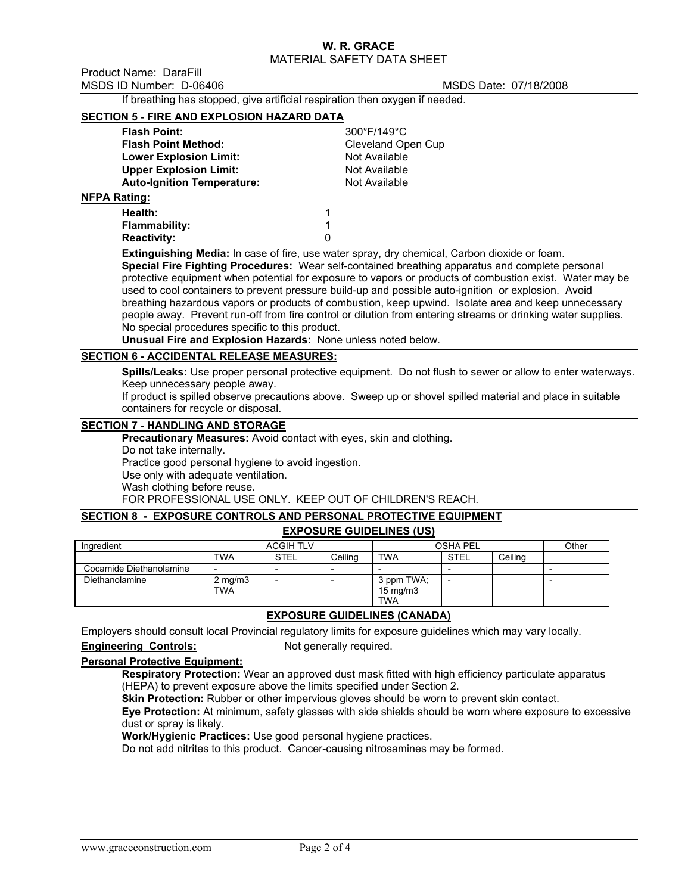Product Name: DaraFill MSDS ID Number: D-06406 MSDS Date: 07/18/2008

If breathing has stopped, give artificial respiration then oxygen if needed.

#### **SECTION 5 - FIRE AND EXPLOSION HAZARD DATA**

| <b>Flash Point:</b>               |  |
|-----------------------------------|--|
| <b>Flash Point Method:</b>        |  |
| <b>Lower Explosion Limit:</b>     |  |
| <b>Upper Explosion Limit:</b>     |  |
| <b>Auto-Ignition Temperature:</b> |  |
| atina:                            |  |

**Flash Point:** 300°F/149°C **Cleveland Open Cup Not Available Not Available Not Available** 

# **NFPA Rating:**

| Health:            |  |
|--------------------|--|
| Flammability:      |  |
| <b>Reactivity:</b> |  |

**Extinguishing Media:** In case of fire, use water spray, dry chemical, Carbon dioxide or foam. **Special Fire Fighting Procedures:** Wear self-contained breathing apparatus and complete personal protective equipment when potential for exposure to vapors or products of combustion exist. Water may be used to cool containers to prevent pressure build-up and possible auto-ignition or explosion. Avoid breathing hazardous vapors or products of combustion, keep upwind. Isolate area and keep unnecessary people away. Prevent run-off from fire control or dilution from entering streams or drinking water supplies. No special procedures specific to this product.

**Unusual Fire and Explosion Hazards:** None unless noted below.

## **SECTION 6 - ACCIDENTAL RELEASE MEASURES:**

**Spills/Leaks:** Use proper personal protective equipment. Do not flush to sewer or allow to enter waterways. Keep unnecessary people away.

If product is spilled observe precautions above. Sweep up or shovel spilled material and place in suitable containers for recycle or disposal.

# **SECTION 7 - HANDLING AND STORAGE**

**Precautionary Measures:** Avoid contact with eyes, skin and clothing.

Do not take internally. Practice good personal hygiene to avoid ingestion. Use only with adequate ventilation. Wash clothing before reuse. FOR PROFESSIONAL USE ONLY. KEEP OUT OF CHILDREN'S REACH.

# **SECTION 8 - EXPOSURE CONTROLS AND PERSONAL PROTECTIVE EQUIPMENT**

## **EXPOSURE GUIDELINES (US)**

| Ingredient              |                            | <b>ACGIH TLV</b> |         |                                               | OSHA PEL                 |         | Other |
|-------------------------|----------------------------|------------------|---------|-----------------------------------------------|--------------------------|---------|-------|
|                         | <b>TWA</b>                 | <b>STEL</b>      | Ceiling | TWA                                           | <b>STEL</b>              | Ceiling |       |
| Cocamide Diethanolamine | -                          |                  |         |                                               | $\overline{\phantom{0}}$ |         |       |
| Diethanolamine          | $2$ mg/m $3$<br><b>TWA</b> |                  |         | 3 ppm TWA;<br>$15 \text{ mg/m}$<br><b>TWA</b> |                          |         |       |

# **EXPOSURE GUIDELINES (CANADA)**

Employers should consult local Provincial regulatory limits for exposure guidelines which may vary locally.

### **Engineering Controls:** Not generally required.

## **Personal Protective Equipment:**

**Respiratory Protection:** Wear an approved dust mask fitted with high efficiency particulate apparatus (HEPA) to prevent exposure above the limits specified under Section 2.

**Skin Protection:** Rubber or other impervious gloves should be worn to prevent skin contact.

**Eye Protection:** At minimum, safety glasses with side shields should be worn where exposure to excessive dust or spray is likely.

**Work/Hygienic Practices:** Use good personal hygiene practices.

Do not add nitrites to this product. Cancer-causing nitrosamines may be formed.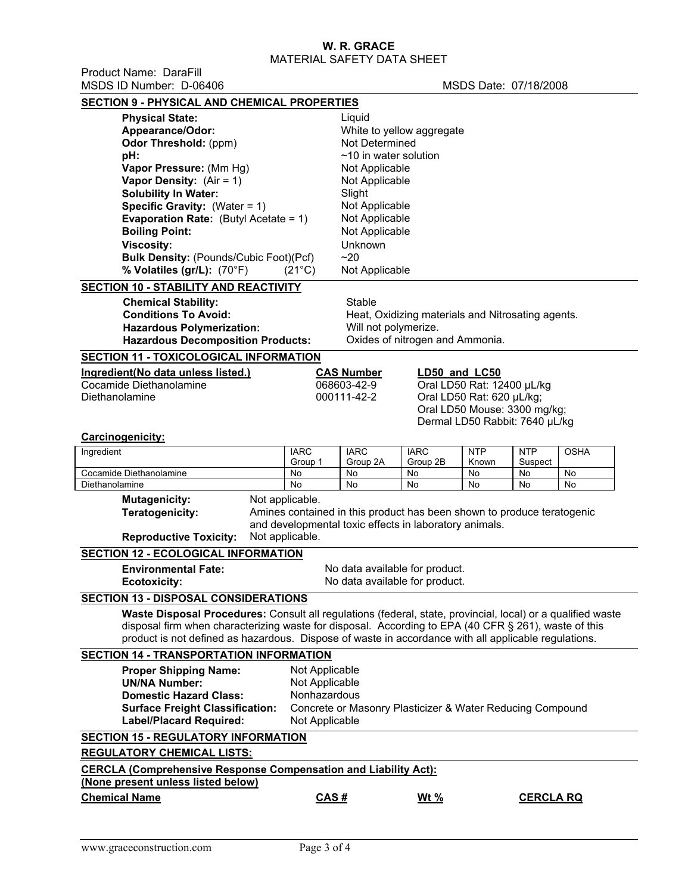Product Name: DaraFill MSDS ID Number: D-06406 MSDS Date: 07/18/2008

| <b>SECTION 9 - PHYSICAL AND CHEMICAL PROPERTIES</b>                                                         |                                                                                           |                                  |                                                   |                                |                  |             |  |
|-------------------------------------------------------------------------------------------------------------|-------------------------------------------------------------------------------------------|----------------------------------|---------------------------------------------------|--------------------------------|------------------|-------------|--|
| <b>Physical State:</b>                                                                                      | Liquid                                                                                    |                                  |                                                   |                                |                  |             |  |
| Appearance/Odor:                                                                                            |                                                                                           |                                  |                                                   | White to yellow aggregate      |                  |             |  |
| Odor Threshold: (ppm)                                                                                       |                                                                                           |                                  |                                                   |                                |                  |             |  |
| pH:                                                                                                         | $~10$ in water solution                                                                   |                                  |                                                   |                                |                  |             |  |
| Vapor Pressure: (Mm Hg)                                                                                     | Not Applicable                                                                            |                                  |                                                   |                                |                  |             |  |
| Vapor Density: $(Air = 1)$                                                                                  | Not Applicable<br>Slight                                                                  |                                  |                                                   |                                |                  |             |  |
|                                                                                                             | <b>Solubility In Water:</b>                                                               |                                  |                                                   |                                |                  |             |  |
| <b>Specific Gravity:</b> (Water = $1$ )                                                                     |                                                                                           | Not Applicable                   |                                                   |                                |                  |             |  |
| <b>Evaporation Rate:</b> (Butyl Acetate = 1)                                                                |                                                                                           | Not Applicable<br>Not Applicable |                                                   |                                |                  |             |  |
|                                                                                                             | <b>Boiling Point:</b>                                                                     |                                  |                                                   |                                |                  |             |  |
| <b>Viscosity:</b>                                                                                           | Unknown                                                                                   |                                  |                                                   |                                |                  |             |  |
| <b>Bulk Density: (Pounds/Cubic Foot)(Pcf)</b>                                                               |                                                                                           | ~20                              |                                                   |                                |                  |             |  |
| % Volatiles (gr/L): (70°F)                                                                                  | $(21^{\circ}C)$                                                                           | Not Applicable                   |                                                   |                                |                  |             |  |
| SECTION 10 - STABILITY AND REACTIVITY                                                                       |                                                                                           |                                  |                                                   |                                |                  |             |  |
| <b>Chemical Stability:</b>                                                                                  |                                                                                           | Stable                           |                                                   |                                |                  |             |  |
| <b>Conditions To Avoid:</b>                                                                                 |                                                                                           |                                  | Heat, Oxidizing materials and Nitrosating agents. |                                |                  |             |  |
| <b>Hazardous Polymerization:</b>                                                                            |                                                                                           | Will not polymerize.             |                                                   |                                |                  |             |  |
| <b>Hazardous Decomposition Products:</b>                                                                    |                                                                                           |                                  | Oxides of nitrogen and Ammonia.                   |                                |                  |             |  |
| SECTION 11 - TOXICOLOGICAL INFORMATION                                                                      |                                                                                           |                                  |                                                   |                                |                  |             |  |
| Ingredient(No data unless listed.)                                                                          |                                                                                           | <b>CAS Number</b>                |                                                   | LD50 and LC50                  |                  |             |  |
| Cocamide Diethanolamine                                                                                     |                                                                                           | 068603-42-9                      |                                                   | Oral LD50 Rat: 12400 µL/kg     |                  |             |  |
| Diethanolamine                                                                                              |                                                                                           | 000111-42-2                      |                                                   | Oral LD50 Rat: 620 µL/kg;      |                  |             |  |
|                                                                                                             |                                                                                           |                                  |                                                   | Oral LD50 Mouse: 3300 mg/kg;   |                  |             |  |
|                                                                                                             |                                                                                           |                                  |                                                   | Dermal LD50 Rabbit: 7640 µL/kg |                  |             |  |
| <b>Carcinogenicity:</b>                                                                                     |                                                                                           |                                  |                                                   |                                |                  |             |  |
| Ingredient                                                                                                  | <b>IARC</b>                                                                               | <b>IARC</b>                      | <b>IARC</b>                                       | <b>NTP</b>                     | <b>NTP</b>       | <b>OSHA</b> |  |
| Cocamide Diethanolamine                                                                                     | Group 1<br>No                                                                             | Group 2A<br>No                   | Group 2B<br>No                                    | Known<br>No                    | Suspect<br>No    | No          |  |
| Diethanolamine                                                                                              | No                                                                                        | No                               | No                                                | No                             | No               | No          |  |
|                                                                                                             | Not applicable.<br><b>Mutagenicity:</b>                                                   |                                  |                                                   |                                |                  |             |  |
|                                                                                                             | Amines contained in this product has been shown to produce teratogenic<br>Teratogenicity: |                                  |                                                   |                                |                  |             |  |
|                                                                                                             | and developmental toxic effects in laboratory animals.                                    |                                  |                                                   |                                |                  |             |  |
| <b>Reproductive Toxicity:</b>                                                                               | Not applicable.                                                                           |                                  |                                                   |                                |                  |             |  |
| <b>SECTION 12 - ECOLOGICAL INFORMATION</b>                                                                  |                                                                                           |                                  |                                                   |                                |                  |             |  |
| <b>Environmental Fate:</b>                                                                                  |                                                                                           | No data available for product.   |                                                   |                                |                  |             |  |
| <b>Ecotoxicity:</b>                                                                                         |                                                                                           | No data available for product.   |                                                   |                                |                  |             |  |
| <b>SECTION 13 - DISPOSAL CONSIDERATIONS</b>                                                                 |                                                                                           |                                  |                                                   |                                |                  |             |  |
| Waste Disposal Procedures: Consult all regulations (federal, state, provincial, local) or a qualified waste |                                                                                           |                                  |                                                   |                                |                  |             |  |
| disposal firm when characterizing waste for disposal. According to EPA (40 CFR § 261), waste of this        |                                                                                           |                                  |                                                   |                                |                  |             |  |
| product is not defined as hazardous. Dispose of waste in accordance with all applicable regulations.        |                                                                                           |                                  |                                                   |                                |                  |             |  |
| <b>SECTION 14 - TRANSPORTATION INFORMATION</b>                                                              |                                                                                           |                                  |                                                   |                                |                  |             |  |
|                                                                                                             | Not Applicable                                                                            |                                  |                                                   |                                |                  |             |  |
| <b>Proper Shipping Name:</b><br><b>UN/NA Number:</b>                                                        |                                                                                           |                                  |                                                   |                                |                  |             |  |
| <b>Domestic Hazard Class:</b>                                                                               | Not Applicable                                                                            |                                  |                                                   |                                |                  |             |  |
| <b>Surface Freight Classification:</b>                                                                      | Nonhazardous                                                                              |                                  |                                                   |                                |                  |             |  |
| <b>Label/Placard Required:</b>                                                                              | Concrete or Masonry Plasticizer & Water Reducing Compound<br>Not Applicable               |                                  |                                                   |                                |                  |             |  |
|                                                                                                             |                                                                                           |                                  |                                                   |                                |                  |             |  |
| <b>SECTION 15 - REGULATORY INFORMATION</b>                                                                  |                                                                                           |                                  |                                                   |                                |                  |             |  |
| <b>REGULATORY CHEMICAL LISTS:</b>                                                                           |                                                                                           |                                  |                                                   |                                |                  |             |  |
| <b>CERCLA (Comprehensive Response Compensation and Liability Act):</b>                                      |                                                                                           |                                  |                                                   |                                |                  |             |  |
| (None present unless listed below)                                                                          |                                                                                           |                                  |                                                   |                                |                  |             |  |
| <b>Chemical Name</b>                                                                                        | CAS#                                                                                      |                                  | <u>Wt %</u>                                       |                                | <b>CERCLA RQ</b> |             |  |
|                                                                                                             |                                                                                           |                                  |                                                   |                                |                  |             |  |